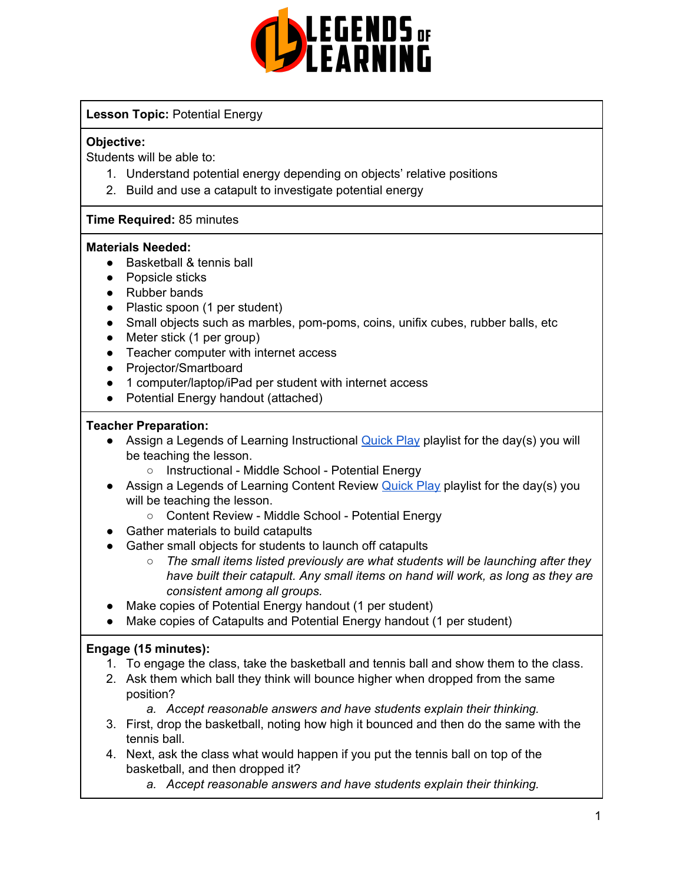

#### **Lesson Topic:** Potential Energy

#### **Objective:**

Students will be able to:

- 1. Understand potential energy depending on objects' relative positions
- 2. Build and use a catapult to investigate potential energy

#### **Time Required:** 85 minutes

#### **Materials Needed:**

- Basketball & tennis ball
- Popsicle sticks
- Rubber bands
- Plastic spoon (1 per student)
- Small objects such as marbles, pom-poms, coins, unifix cubes, rubber balls, etc
- Meter stick (1 per group)
- Teacher computer with internet access
- Projector/Smartboard
- 1 computer/laptop/iPad per student with internet access
- Potential Energy handout (attached)

#### **Teacher Preparation:**

- Assign a Legends of Learning Instructional **[Quick](https://intercom.help/legends-of-learning/en/articles/2701866-assigning-a-quick-play-playlist) Play playlist for the day(s)** you will be teaching the lesson.
	- Instructional Middle School Potential Energy
- Assign a Legends of Learning Content Review **[Quick](https://intercom.help/legends-of-learning/en/articles/2701866-assigning-a-quick-play-playlist) Play playlist for the day(s)** you will be teaching the lesson.
	- Content Review Middle School Potential Energy
- Gather materials to build catapults
- Gather small objects for students to launch off catapults
	- *○ The small items listed previously are what students will be launching after they have built their catapult. Any small items on hand will work, as long as they are consistent among all groups.*
- Make copies of Potential Energy handout (1 per student)
- Make copies of Catapults and Potential Energy handout (1 per student)

#### **Engage (15 minutes):**

- 1. To engage the class, take the basketball and tennis ball and show them to the class.
- 2. Ask them which ball they think will bounce higher when dropped from the same position?
	- *a. Accept reasonable answers and have students explain their thinking.*
- 3. First, drop the basketball, noting how high it bounced and then do the same with the tennis ball.
- 4. Next, ask the class what would happen if you put the tennis ball on top of the basketball, and then dropped it?
	- *a. Accept reasonable answers and have students explain their thinking.*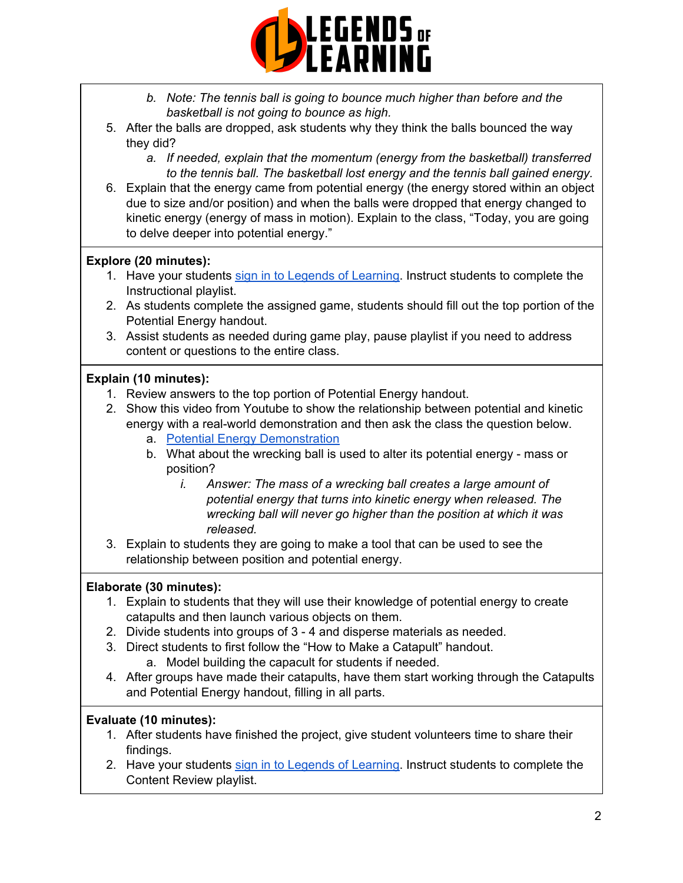

- *b. Note: The tennis ball is going to bounce much higher than before and the basketball is not going to bounce as high.*
- 5. After the balls are dropped, ask students why they think the balls bounced the way they did?
	- *a. If needed, explain that the momentum (energy from the basketball) transferred to the tennis ball. The basketball lost energy and the tennis ball gained energy.*
- 6. Explain that the energy came from potential energy (the energy stored within an object due to size and/or position) and when the balls were dropped that energy changed to kinetic energy (energy of mass in motion). Explain to the class, "Today, you are going to delve deeper into potential energy."

#### **Explore (20 minutes):**

- 1. Have your students sign in to Legends of [Learning](https://intercom.help/legends-of-learning/en/articles/2154920-students-joining-a-playlist). Instruct students to complete the Instructional playlist.
- 2. As students complete the assigned game, students should fill out the top portion of the Potential Energy handout.
- 3. Assist students as needed during game play, pause playlist if you need to address content or questions to the entire class.

#### **Explain (10 minutes):**

- 1. Review answers to the top portion of Potential Energy handout.
- 2. Show this video from Youtube to show the relationship between potential and kinetic energy with a real-world demonstration and then ask the class the question below.
	- a. Potential Energy [Demonstration](https://www.youtube.com/watch?v=PWNs7i4rEWA)
	- b. What about the wrecking ball is used to alter its potential energy mass or position?
		- *i. Answer: The mass of a wrecking ball creates a large amount of potential energy that turns into kinetic energy when released. The wrecking ball will never go higher than the position at which it was released.*
- 3. Explain to students they are going to make a tool that can be used to see the relationship between position and potential energy.

#### **Elaborate (30 minutes):**

- 1. Explain to students that they will use their knowledge of potential energy to create catapults and then launch various objects on them.
- 2. Divide students into groups of 3 4 and disperse materials as needed.
- 3. Direct students to first follow the "How to Make a Catapult" handout. a. Model building the capacult for students if needed.
- 4. After groups have made their catapults, have them start working through the Catapults and Potential Energy handout, filling in all parts.

#### **Evaluate (10 minutes):**

- 1. After students have finished the project, give student volunteers time to share their findings.
- 2. Have your students sign in to Legends of [Learning](https://intercom.help/legends-of-learning/en/articles/2154920-students-joining-a-playlist). Instruct students to complete the Content Review playlist.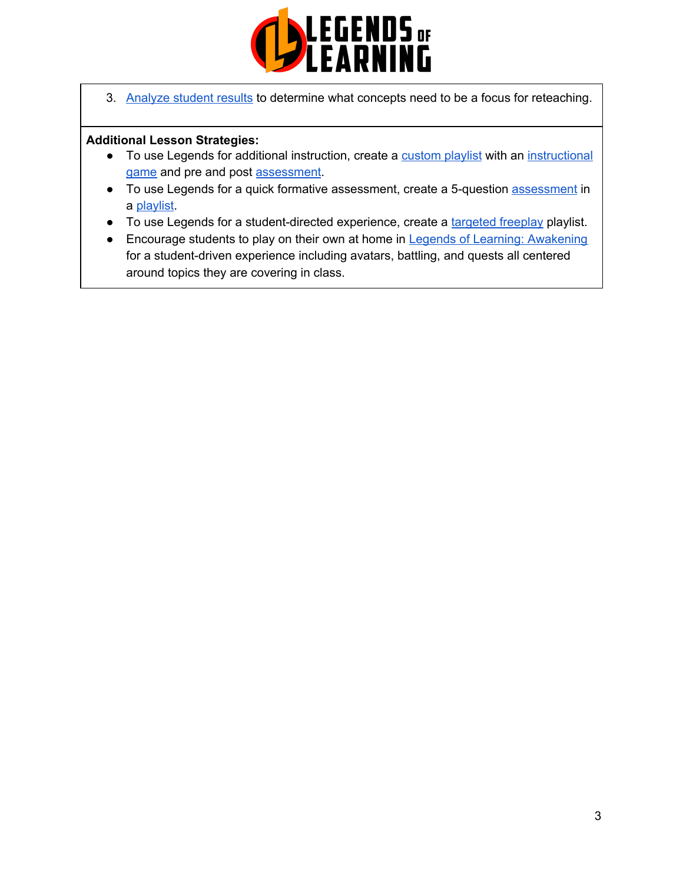

3. [Analyze](https://intercom.help/legends-of-learning/en/articles/2154918-tracking-student-progress-and-performance) student results to determine what concepts need to be a focus for reteaching.

#### **Additional Lesson Strategies:**

- To use Legends for additional instruction, create a [custom](https://intercom.help/legends-of-learning/en/articles/2154910-creating-a-playlist) playlist with an [instructional](https://intercom.help/legends-of-learning/en/articles/3505828-types-of-games) [game](https://intercom.help/legends-of-learning/en/articles/3505828-types-of-games) and pre and post [assessment](https://intercom.help/legends-of-learning/en/articles/2154913-adding-assessments-to-a-playlist).
- To use Legends for a quick formative [assessment](https://intercom.help/legends-of-learning/en/articles/2154913-adding-assessments-to-a-playlist), create a 5-question **assessment** in a [playlist](https://intercom.help/legends-of-learning/en/articles/2154910-creating-a-playlist).
- To use Legends for a student-directed experience, create a [targeted](https://intercom.help/legends-of-learning/en/articles/3340814-targeted-freeplay) freeplay playlist.
- Encourage students to play on their own at home in Legends of Learning: [Awakening](https://intercom.help/legends-of-learning/en/articles/2425490-legends-of-learning-awakening) for a student-driven experience including avatars, battling, and quests all centered around topics they are covering in class.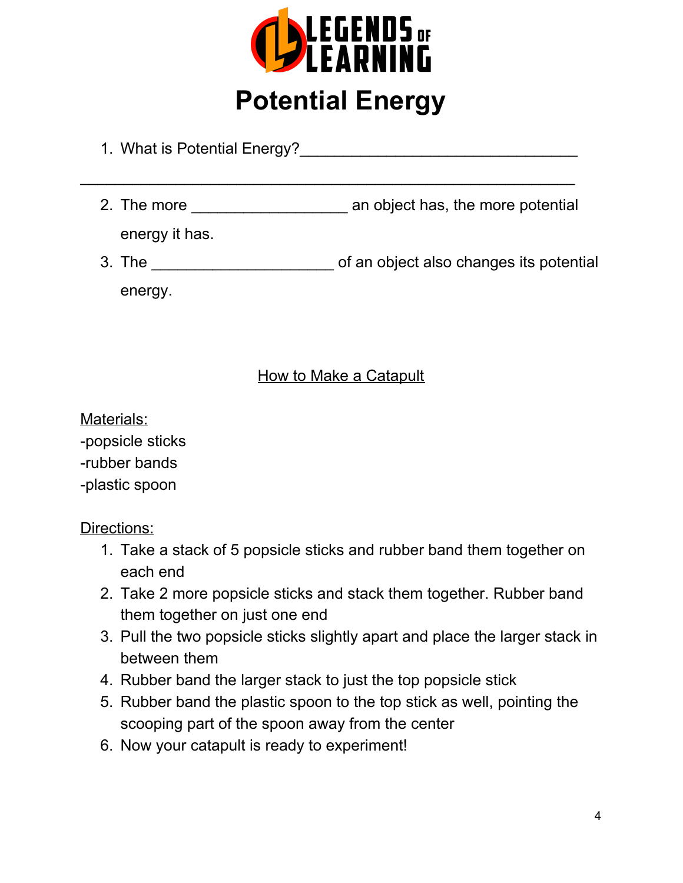

## **Potential Energy**

- 1. What is Potential Energy?
- 2. The more **2.** The more **an** object has, the more potential energy it has.

 $\overline{\phantom{a}}$  , and the contribution of the contribution of the contribution of the contribution of the contribution of the contribution of the contribution of the contribution of the contribution of the contribution of the

3. The \_\_\_\_\_\_\_\_\_\_\_\_\_\_\_\_\_\_\_\_\_ of an object also changes its potential energy.

### How to Make a Catapult

Materials:

-popsicle sticks -rubber bands -plastic spoon

Directions:

- 1. Take a stack of 5 popsicle sticks and rubber band them together on each end
- 2. Take 2 more popsicle sticks and stack them together. Rubber band them together on just one end
- 3. Pull the two popsicle sticks slightly apart and place the larger stack in between them
- 4. Rubber band the larger stack to just the top popsicle stick
- 5. Rubber band the plastic spoon to the top stick as well, pointing the scooping part of the spoon away from the center
- 6. Now your catapult is ready to experiment!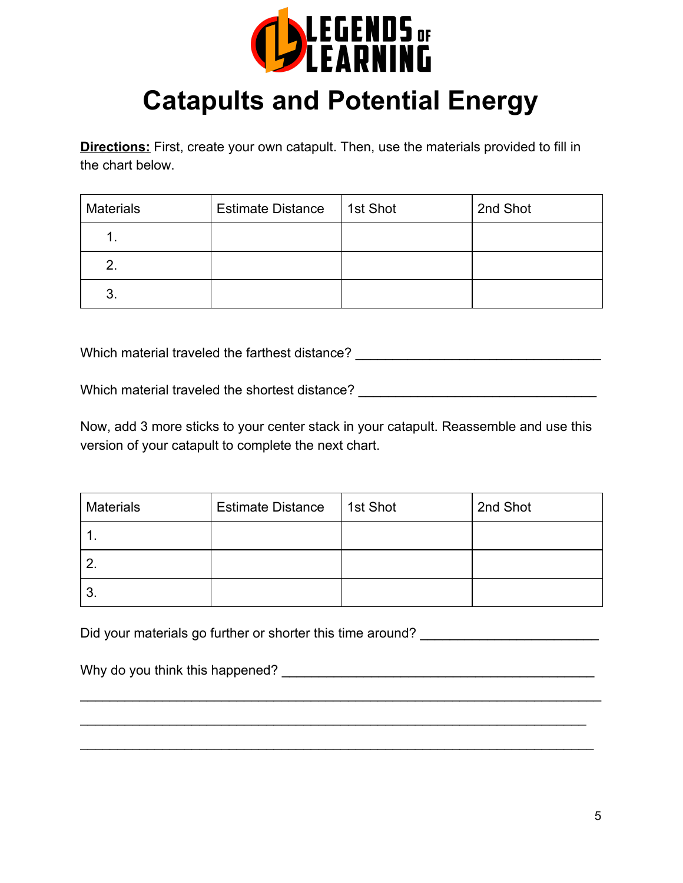

## **Catapults and Potential Energy**

**Directions:** First, create your own catapult. Then, use the materials provided to fill in the chart below.

| <b>Materials</b> | <b>Estimate Distance</b> | 1st Shot | 2nd Shot |
|------------------|--------------------------|----------|----------|
|                  |                          |          |          |
|                  |                          |          |          |
|                  |                          |          |          |

Which material traveled the farthest distance? \_\_\_\_\_\_\_\_\_\_\_\_\_\_\_\_\_\_\_\_\_\_\_\_\_\_\_\_\_\_\_\_\_

Which material traveled the shortest distance? Which material traveled the shortest distance?

Now, add 3 more sticks to your center stack in your catapult. Reassemble and use this version of your catapult to complete the next chart.

| <b>Materials</b> | <b>Estimate Distance</b> | 1st Shot | 2nd Shot |
|------------------|--------------------------|----------|----------|
|                  |                          |          |          |
|                  |                          |          |          |
| 3.               |                          |          |          |

\_\_\_\_\_\_\_\_\_\_\_\_\_\_\_\_\_\_\_\_\_\_\_\_\_\_\_\_\_\_\_\_\_\_\_\_\_\_\_\_\_\_\_\_\_\_\_\_\_\_\_\_\_\_\_\_\_\_\_\_\_\_\_\_\_\_\_\_\_\_

\_\_\_\_\_\_\_\_\_\_\_\_\_\_\_\_\_\_\_\_\_\_\_\_\_\_\_\_\_\_\_\_\_\_\_\_\_\_\_\_\_\_\_\_\_\_\_\_\_\_\_\_\_\_\_\_\_\_\_\_\_\_\_\_\_\_\_\_

\_\_\_\_\_\_\_\_\_\_\_\_\_\_\_\_\_\_\_\_\_\_\_\_\_\_\_\_\_\_\_\_\_\_\_\_\_\_\_\_\_\_\_\_\_\_\_\_\_\_\_\_\_\_\_\_\_\_\_\_\_\_\_\_\_\_\_\_\_

Did your materials go further or shorter this time around?

Why do you think this happened? Why do you think this happened?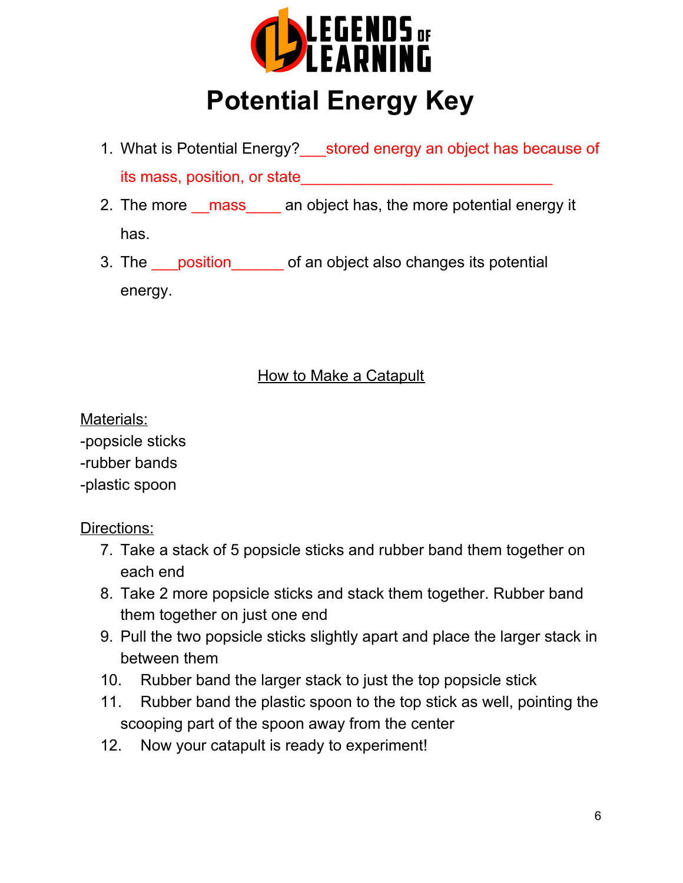

# **Potential Energy Key**

- 1. What is Potential Energy? stored energy an object has because of its mass, position, or state
- 2. The more mass an object has, the more potential energy it has.
- 3. The <u>position</u> of an object also changes its potential energy.

### How to Make a Catapult

Materials:

-popsicle sticks -rubber bands -plastic spoon

Directions:

- 7. Take a stack of 5 popsicle sticks and rubber band them together on each end
- 8. Take 2 more popsicle sticks and stack them together. Rubber band them together on just one end
- 9. Pull the two popsicle sticks slightly apart and place the larger stack in between them
- 10. Rubber band the larger stack to just the top popsicle stick
- 11. Rubber band the plastic spoon to the top stick as well, pointing the scooping part of the spoon away from the center
- 12. Now your catapult is ready to experiment!